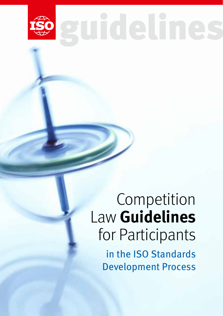

guidelines

## Competition Law **Guidelines**  for Participants in the ISO Standards Development Process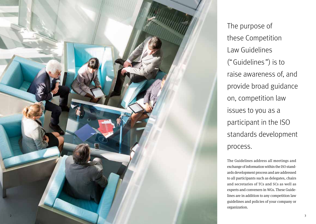

The purpose of these Competition Law Guidelines ("Guidelines ") is to raise awareness of, and provide broad guidance on, competition law issues to you as a participant in the ISO standards development process.

The Guidelines address all meetings and exchange of information within the ISO stand ards development process and are addressed to all participants such as delegates, chairs and secretaries of TCs and SCs as well as experts and conveners in WGs. These Guide lines are in addition to any competition law guidelines and policies of your company or organization.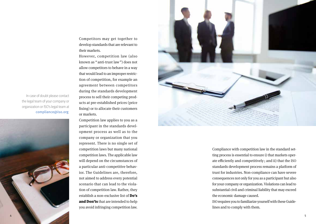Competitors may get together to develop standards that are relevant to their markets.

However, competition law (also

known as " anti-trust law") does not allow competitors to behave in a way that would lead to an improper restriction of competition, for example an agreement between competitors during the standards development process to sell their competing products at pre-established prices (price fixing) or to allocate their customers or markets.

Competition law applies to you as a participant in the standards development process as well as to the company or organization that you represent. There is no single set of competition laws but many national competition laws. The applicable law will depend on the circumstances of a particular anti-competitive behavior. The Guidelines are, therefore, not aimed to address every potential scenario that can lead to the violation of competition law. Rather, they establish a non-exclusive list of [Do's](#page-3-0)  [and Don'ts](#page-3-0) that are intended to help you avoid infringing competition law.



Compliance with competition law in the standard setting process is essential to ensure i) that markets operate efficiently and competitively ; and ii) that the ISO standards development process remains a platform of trust for industries. Non-compliance can have severe consequences not only for you as a participant but also for your company or organization. Violations can lead to substantial civil and criminal liability that may exceed the economic damage caused.

ISO requires you to familiarize yourself with these Guidelines and to comply with them.

In case of doubt please contact the legal team of your company or organization or ISO's legal team at [compliance@iso.org](mailto:compliance%40iso.org?subject=).

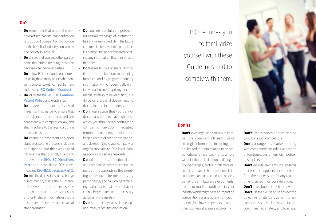## <span id="page-3-0"></span>**Do's**

- **Do** remember that one of the purposes of international standardization is to support competition worldwide for the benefit of industry, consumers and society in general.
- **Do** ensure that you and other participants that attend meetings have the necessary technical expertise.
- **Do** follow ISO rules and procedures, including those many policies that concern compliance with competition law, such as the [ISO Code of Conduct](http://www.iso.org/iso/codes_of_conduct.pdf).
- **Do** follow the **ISO-IEC-ITU Common [Patent Policy](http://www.iso.org/patents) and Guidelines.**
- **Do** review and clear agendas of meetings in advance, to ensure that the subjects to be discussed are consistent with competition law, and strictly adhere to the agenda during the meetings.
- **Do** ensure a transparent and open standards setting process, including participation and the exchange of information, that is strictly in accordance with the [ISO/IEC Directives](http://isotc.iso.org/livelink/livelink?func=ll&objId=4230452&objAction=browse&sort=subtype) [Part 1](http://isotc.iso.org/livelink/livelink?func=ll&objId=4230452&objAction=browse&sort=subtype) and Consolidated ISO Supplement and [ISO/IEC Directives Part 2.](http://isotc.iso.org/livelink/livelink?func=ll&objId=4230456&objAction=browse&sort=subtype)
- **Do** limit the discussions, or exchange of information, during the ISO standards development process solely to technical standardization issues and only share information that is necessary to meet the objectives of standardization.
- **Do** consider carefully if a potential (or actual) exchange of information has any value in predicting the future commercial behavior of a participating competitor, and refrain from sharing any information that might have this effect.
- **Do** feel free to use and share information from the public domain, including historical and aggregated industry information (which doesn't allow an individual business's pricing or commercial strategy to be identified), but do be careful that it doesn't lead to discussions on future strategy.
- **Do** always state that you cannot discuss any matters that might arise which you think could contravene competition law ; do immediately terminate such conversations; do keep a record of such conversation; and do report this to your company or organization and to ISO's legal team, as soon as possible afterwards.
- **Do** take immediate action if the anti-competitive behavior continues, including suspending the meeting to remove the misbehaving participant(s) and cautioning remaining participants that such behavior cannot be permitted and, if necessary adjourning the meeting.
- **Do** ensure that any notes of meetings accurately reflect the discussion.

ISO requires you to familiarize yourself with these Guidelines and to comply with them.



## **Don'ts**

- **Don't** exchange, or discuss with competitors, commercially sensitive or strategic information, including, but not limited to: data relating to prices; conditions of licenses (for example with distributors); discounts; timing of pricing changes; profits; profit margins; cost data; market share; customer lists; supply or marketing schedules; bidding behavior ; any future developments, trends or market conditions in your industry which might have an impact on competition; or any other information that might allow competitors to adapt their business strategies accordingly.
- **Don't** fix any prices or price-related conditions with competitors.
- **Don't** arrange any market sharing with competitors including allocation of territories, customers, distributors, or suppliers.
- **Don't** include elements in standards that exclude suppliers or competitors from the marketplace for any reason other than technical considerations.
- **Don't** joke about competition law.
- **Don't** use the excuse of "to achieve the objective for standardization " to ask competitors to reveal sensitive information on market, strategy and business.